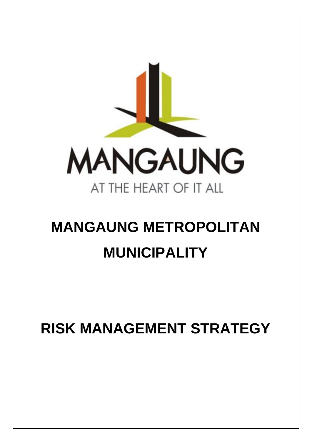

# **MANGAUNG METROPOLITAN MUNICIPALITY**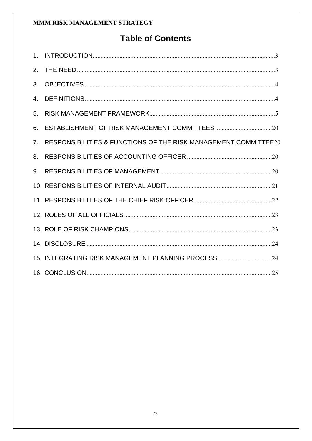# **Table of Contents**

| 2.             |                                                                 |
|----------------|-----------------------------------------------------------------|
| 3.             |                                                                 |
| 4.             |                                                                 |
| 5.             |                                                                 |
| 6.             |                                                                 |
| 7 <sub>1</sub> | RESPONSIBILITIES & FUNCTIONS OF THE RISK MANAGEMENT COMMITTEE20 |
| 8.             |                                                                 |
| 9.             |                                                                 |
|                |                                                                 |
|                |                                                                 |
|                |                                                                 |
|                |                                                                 |
|                |                                                                 |
|                | 15. INTEGRATING RISK MANAGEMENT PLANNING PROCESS 24             |
|                |                                                                 |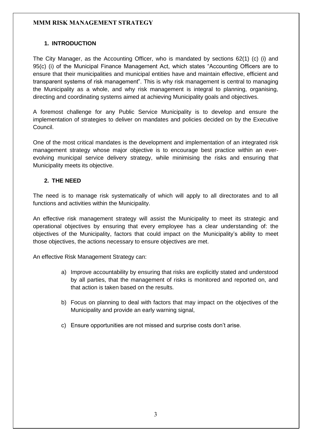#### <span id="page-2-0"></span>**1. INTRODUCTION**

The City Manager, as the Accounting Officer, who is mandated by sections 62(1) (c) (i) and 95(c) (i) of the Municipal Finance Management Act, which states "Accounting Officers are to ensure that their municipalities and municipal entities have and maintain effective, efficient and transparent systems of risk management". This is why risk management is central to managing the Municipality as a whole, and why risk management is integral to planning, organising, directing and coordinating systems aimed at achieving Municipality goals and objectives.

A foremost challenge for any Public Service Municipality is to develop and ensure the implementation of strategies to deliver on mandates and policies decided on by the Executive Council.

One of the most critical mandates is the development and implementation of an integrated risk management strategy whose major objective is to encourage best practice within an everevolving municipal service delivery strategy, while minimising the risks and ensuring that Municipality meets its objective.

#### <span id="page-2-1"></span>**2. THE NEED**

The need is to manage risk systematically of which will apply to all directorates and to all functions and activities within the Municipality.

An effective risk management strategy will assist the Municipality to meet its strategic and operational objectives by ensuring that every employee has a clear understanding of: the objectives of the Municipality, factors that could impact on the Municipality's ability to meet those objectives, the actions necessary to ensure objectives are met.

An effective Risk Management Strategy can:

- a) Improve accountability by ensuring that risks are explicitly stated and understood by all parties, that the management of risks is monitored and reported on, and that action is taken based on the results.
- b) Focus on planning to deal with factors that may impact on the objectives of the Municipality and provide an early warning signal,
- c) Ensure opportunities are not missed and surprise costs don't arise.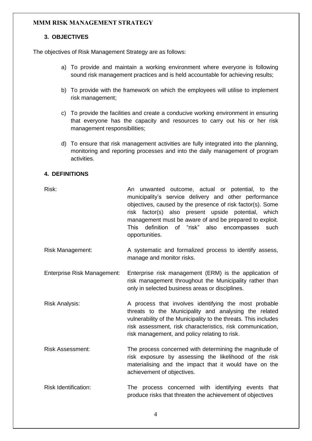#### <span id="page-3-0"></span>**3. OBJECTIVES**

The objectives of Risk Management Strategy are as follows:

- a) To provide and maintain a working environment where everyone is following sound risk management practices and is held accountable for achieving results;
- b) To provide with the framework on which the employees will utilise to implement risk management;
- c) To provide the facilities and create a conducive working environment in ensuring that everyone has the capacity and resources to carry out his or her risk management responsibilities;
- d) To ensure that risk management activities are fully integrated into the planning, monitoring and reporting processes and into the daily management of program activities.

#### <span id="page-3-1"></span>**4. DEFINITIONS**

- Risk: An unwanted outcome, actual or potential, to the municipality's service delivery and other performance objectives, caused by the presence of risk factor(s). Some risk factor(s) also present upside potential, which management must be aware of and be prepared to exploit. This definition of "risk" also encompasses such opportunities.
- Risk Management: A systematic and formalized process to identify assess, manage and monitor risks.
- Enterprise Risk Management: Enterprise risk management (ERM) is the application of risk management throughout the Municipality rather than only in selected business areas or disciplines.
- Risk Analysis: A process that involves identifying the most probable threats to the Municipality and analysing the related vulnerability of the Municipality to the threats. This includes risk assessment, risk characteristics, risk communication, risk management, and policy relating to risk.
- Risk Assessment: The process concerned with determining the magnitude of risk exposure by assessing the likelihood of the risk materialising and the impact that it would have on the achievement of objectives.
- Risk Identification: The process concerned with identifying events that produce risks that threaten the achievement of objectives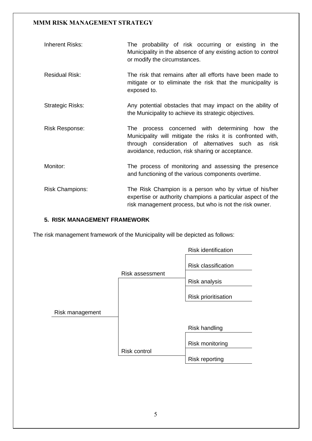| Inherent Risks:        | The probability of risk occurring or existing in the<br>Municipality in the absence of any existing action to control<br>or modify the circumstances.                                                                          |  |  |  |  |
|------------------------|--------------------------------------------------------------------------------------------------------------------------------------------------------------------------------------------------------------------------------|--|--|--|--|
| <b>Residual Risk:</b>  | The risk that remains after all efforts have been made to<br>mitigate or to eliminate the risk that the municipality is<br>exposed to.                                                                                         |  |  |  |  |
| Strategic Risks:       | Any potential obstacles that may impact on the ability of<br>the Municipality to achieve its strategic objectives.                                                                                                             |  |  |  |  |
| <b>Risk Response:</b>  | process concerned with determining how the<br>The<br>Municipality will mitigate the risks it is confronted with,<br>through consideration of alternatives such as<br>risk<br>avoidance, reduction, risk sharing or acceptance. |  |  |  |  |
| Monitor:               | The process of monitoring and assessing the presence<br>and functioning of the various components overtime.                                                                                                                    |  |  |  |  |
| <b>Risk Champions:</b> | The Risk Champion is a person who by virtue of his/her<br>expertise or authority champions a particular aspect of the<br>risk management process, but who is not the risk owner.                                               |  |  |  |  |

#### <span id="page-4-0"></span>**5. RISK MANAGEMENT FRAMEWORK**

The risk management framework of the Municipality will be depicted as follows:

|                 |                        | <b>Risk identification</b> |
|-----------------|------------------------|----------------------------|
|                 |                        | <b>Risk classification</b> |
|                 | <b>Risk assessment</b> |                            |
|                 |                        | Risk analysis              |
|                 |                        | <b>Risk prioritisation</b> |
| Risk management |                        |                            |
|                 |                        |                            |
|                 |                        | <b>Risk handling</b>       |
|                 |                        | <b>Risk monitoring</b>     |
|                 | <b>Risk control</b>    |                            |
|                 |                        | <b>Risk reporting</b>      |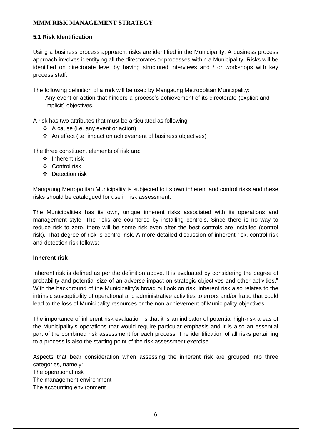#### **5.1 Risk Identification**

Using a business process approach, risks are identified in the Municipality. A business process approach involves identifying all the directorates or processes within a Municipality. Risks will be identified on directorate level by having structured interviews and / or workshops with key process staff.

The following definition of a **risk** will be used by Mangaung Metropolitan Municipality:

Any event or action that hinders a process's achievement of its directorate (explicit and implicit) objectives.

A risk has two attributes that must be articulated as following:

- ❖ A cause (i.e. any event or action)
- ❖ An effect (i.e. impact on achievement of business objectives)

The three constituent elements of risk are:

- ❖ Inherent risk
- ❖ Control risk
- ❖ Detection risk

Mangaung Metropolitan Municipality is subjected to its own inherent and control risks and these risks should be catalogued for use in risk assessment.

The Municipalities has its own, unique inherent risks associated with its operations and management style. The risks are countered by installing controls. Since there is no way to reduce risk to zero, there will be some risk even after the best controls are installed (control risk). That degree of risk is control risk. A more detailed discussion of inherent risk, control risk and detection risk follows:

#### **Inherent risk**

Inherent risk is defined as per the definition above. It is evaluated by considering the degree of probability and potential size of an adverse impact on strategic objectives and other activities." With the background of the Municipality's broad outlook on risk, inherent risk also relates to the intrinsic susceptibility of operational and administrative activities to errors and/or fraud that could lead to the loss of Municipality resources or the non-achievement of Municipality objectives.

The importance of inherent risk evaluation is that it is an indicator of potential high-risk areas of the Municipality's operations that would require particular emphasis and it is also an essential part of the combined risk assessment for each process. The identification of all risks pertaining to a process is also the starting point of the risk assessment exercise.

Aspects that bear consideration when assessing the inherent risk are grouped into three categories, namely: The operational risk The management environment The accounting environment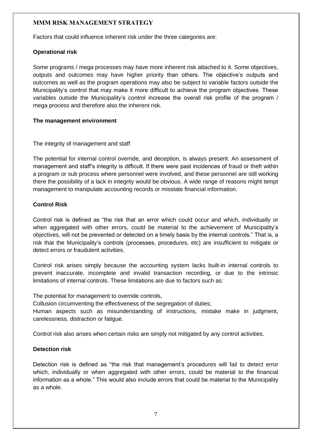Factors that could influence inherent risk under the three categories are:

#### **Operational risk**

Some programs / mega processes may have more inherent risk attached to it. Some objectives, outputs and outcomes may have higher priority than others. The objective's outputs and outcomes as well as the program operations may also be subject to variable factors outside the Municipality's control that may make it more difficult to achieve the program objectives. These variables outside the Municipality's control increase the overall risk profile of the program / mega process and therefore also the inherent risk.

#### **The management environment**

#### The integrity of management and staff

The potential for internal control override, and deception, is always present. An assessment of management and staff's integrity is difficult. If there were past incidences of fraud or theft within a program or sub process where personnel were involved, and these personnel are still working there the possibility of a lack in integrity would be obvious. A wide range of reasons might tempt management to manipulate accounting records or misstate financial information.

#### **Control Risk**

Control risk is defined as "the risk that an error which could occur and which, individually or when aggregated with other errors, could be material to the achievement of Municipality's objectives, will not be prevented or detected on a timely basis by the internal controls." That is, a risk that the Municipality's controls (processes, procedures, etc) are insufficient to mitigate or detect errors or fraudulent activities.

Control risk arises simply because the accounting system lacks built-in internal controls to prevent inaccurate, incomplete and invalid transaction recording, or due to the intrinsic limitations of internal controls. These limitations are due to factors such as:

The potential for management to override controls,

Collusion circumventing the effectiveness of the segregation of duties;

Human aspects such as misunderstanding of instructions, mistake make in judgment, carelessness, distraction or fatigue.

Control risk also arises when certain risks are simply not mitigated by any control activities.

#### **Detection risk**

Detection risk is defined as "the risk that management's procedures will fail to detect error which, individually or when aggregated with other errors, could be material to the financial information as a whole." This would also include errors that could be material to the Municipality as a whole.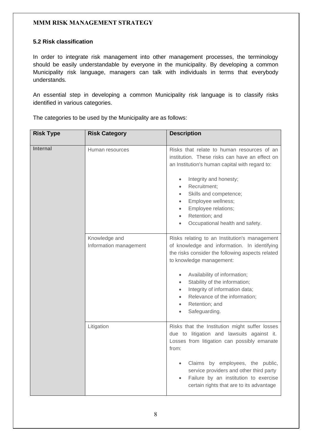#### **5.2 Risk classification**

In order to integrate risk management into other management processes, the terminology should be easily understandable by everyone in the municipality. By developing a common Municipality risk language, managers can talk with individuals in terms that everybody understands.

An essential step in developing a common Municipality risk language is to classify risks identified in various categories.

The categories to be used by the Municipality are as follows:

| <b>Risk Type</b> | <b>Risk Category</b>                    | <b>Description</b>                                                                                                                                                                                                                                                                                                                                                                                 |
|------------------|-----------------------------------------|----------------------------------------------------------------------------------------------------------------------------------------------------------------------------------------------------------------------------------------------------------------------------------------------------------------------------------------------------------------------------------------------------|
| <b>Internal</b>  | Human resources                         | Risks that relate to human resources of an<br>institution. These risks can have an effect on<br>an Institution's human capital with regard to:<br>Integrity and honesty;<br>$\bullet$<br>Recruitment;<br>$\bullet$<br>Skills and competence;<br>$\bullet$<br>Employee wellness;<br>$\bullet$<br>Employee relations;<br>$\bullet$<br>Retention; and<br>$\bullet$<br>Occupational health and safety. |
|                  | Knowledge and<br>Information management | Risks relating to an Institution's management<br>of knowledge and information. In identifying<br>the risks consider the following aspects related<br>to knowledge management:<br>Availability of information;<br>$\bullet$<br>Stability of the information;<br>Integrity of information data;<br>Relevance of the information;<br>Retention; and<br>$\bullet$<br>Safeguarding.                     |
|                  | Litigation                              | Risks that the Institution might suffer losses<br>due to litigation and lawsuits against it.<br>Losses from litigation can possibly emanate<br>from:<br>Claims by employees, the public,<br>service providers and other third party<br>Failure by an institution to exercise<br>certain rights that are to its advantage                                                                           |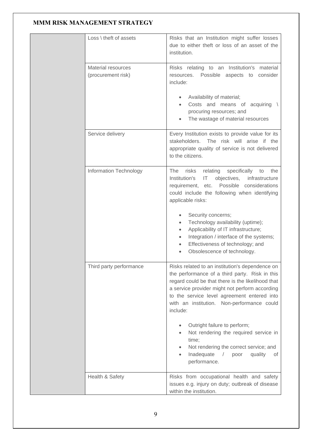|  | $Loss \backslash$ theft of assets        | Risks that an Institution might suffer losses<br>due to either theft or loss of an asset of the<br>institution.                                                                                                                                                                                                                                                                                                                                           |  |  |
|--|------------------------------------------|-----------------------------------------------------------------------------------------------------------------------------------------------------------------------------------------------------------------------------------------------------------------------------------------------------------------------------------------------------------------------------------------------------------------------------------------------------------|--|--|
|  | Material resources<br>(procurement risk) | Risks relating to an Institution's material<br>Possible<br>aspects to<br>consider<br>resources.<br>include:                                                                                                                                                                                                                                                                                                                                               |  |  |
|  |                                          | Availability of material;<br>Costs and means of acquiring<br>procuring resources; and<br>The wastage of material resources                                                                                                                                                                                                                                                                                                                                |  |  |
|  | Service delivery                         | Every Institution exists to provide value for its<br>stakeholders.<br>The risk will arise if the<br>appropriate quality of service is not delivered<br>to the citizens.                                                                                                                                                                                                                                                                                   |  |  |
|  | Information Technology                   | <b>The</b><br>relating<br>specifically<br>risks<br>the<br>to<br>Institution's<br>objectives,<br>infrastructure<br>IT<br>Possible considerations<br>requirement, etc.<br>could include the following when identifying<br>applicable risks:<br>Security concerns;<br>Technology availability (uptime);<br>Applicability of IT infrastructure;<br>Integration / interface of the systems;<br>Effectiveness of technology; and<br>Obsolescence of technology. |  |  |
|  | Third party performance                  | Risks related to an institution's dependence on<br>the performance of a third party. Risk in this<br>regard could be that there is the likelihood that<br>a service provider might not perform according<br>to the service level agreement entered into<br>with an institution. Non-performance could<br>include:<br>Outright failure to perform;<br>Not rendering the required service in<br>time;<br>Not rendering the correct service; and             |  |  |
|  | Health & Safety                          | Inadequate<br>quality<br>$\sqrt{2}$<br>poor<br>οf<br>۰<br>performance.<br>Risks from occupational health and safety                                                                                                                                                                                                                                                                                                                                       |  |  |
|  |                                          | issues e.g. injury on duty; outbreak of disease<br>within the institution.                                                                                                                                                                                                                                                                                                                                                                                |  |  |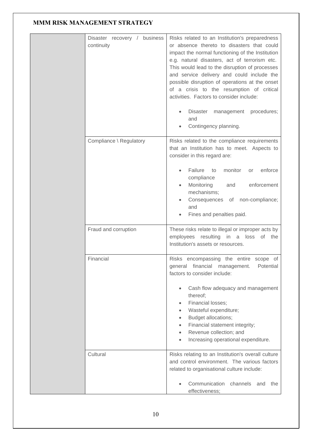| Disaster recovery / business<br>continuity | Risks related to an Institution's preparedness<br>or absence thereto to disasters that could<br>impact the normal functioning of the Institution<br>e.g. natural disasters, act of terrorism etc.<br>This would lead to the disruption of processes<br>and service delivery and could include the<br>possible disruption of operations at the onset<br>of a crisis to the resumption of critical<br>activities. Factors to consider include:<br>Disaster management<br>procedures;<br>and<br>Contingency planning. |  |  |
|--------------------------------------------|--------------------------------------------------------------------------------------------------------------------------------------------------------------------------------------------------------------------------------------------------------------------------------------------------------------------------------------------------------------------------------------------------------------------------------------------------------------------------------------------------------------------|--|--|
| Compliance \ Regulatory                    | Risks related to the compliance requirements<br>that an Institution has to meet. Aspects to<br>consider in this regard are:<br>Failure<br>to<br>monitor<br>enforce<br><b>or</b><br>compliance<br>Monitoring<br>and<br>enforcement<br>mechanisms;<br>Consequences of non-compliance;<br>and<br>Fines and penalties paid.                                                                                                                                                                                            |  |  |
| Fraud and corruption                       | These risks relate to illegal or improper acts by<br>employees resulting in a loss<br>of the<br>Institution's assets or resources.                                                                                                                                                                                                                                                                                                                                                                                 |  |  |
| Financial                                  | Risks encompassing the entire scope of<br>general financial management. Potential<br>factors to consider include:<br>Cash flow adequacy and management<br>thereof;<br>Financial losses;<br>Wasteful expenditure;<br>Budget allocations;<br>Financial statement integrity;<br>Revenue collection; and<br>Increasing operational expenditure.                                                                                                                                                                        |  |  |
| Cultural                                   | Risks relating to an Institution's overall culture<br>and control environment. The various factors<br>related to organisational culture include:<br>Communication channels<br>the<br>and<br>effectiveness;                                                                                                                                                                                                                                                                                                         |  |  |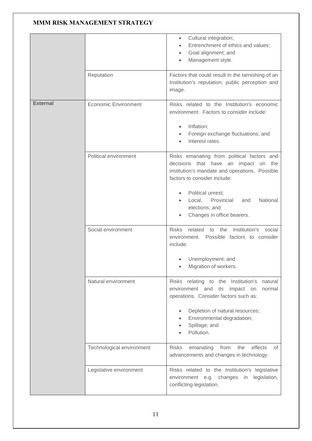|                 |                             | Cultural integration;<br>$\bullet$<br>Entrenchment of ethics and values;<br>Goal alignment; and<br>Management style.                                                                                                                                                                 |
|-----------------|-----------------------------|--------------------------------------------------------------------------------------------------------------------------------------------------------------------------------------------------------------------------------------------------------------------------------------|
|                 | Reputation                  | Factors that could result in the tarnishing of an<br>Institution's reputation, public perception and<br>image.                                                                                                                                                                       |
| <b>External</b> | <b>Economic Environment</b> | Risks related to the Institution's economic<br>environment. Factors to consider include:<br>Inflation;<br>$\bullet$<br>Foreign exchange fluctuations; and<br>$\bullet$<br>Interest rates.                                                                                            |
|                 | Political environment       | Risks emanating from political factors and<br>decisions that have an impact on the<br>institution's mandate and operations. Possible<br>factors to consider include:<br>Political unrest;<br>Local,<br>Provincial<br>National<br>and<br>elections; and<br>Changes in office bearers. |
|                 | Social environment          | <b>Risks</b><br>related<br>social<br>the<br>Institution's<br>to<br>environment. Possible factors to consider<br>include:<br>Unemployment; and<br>Migration of workers.                                                                                                               |
|                 | Natural environment         | relating to the Institution's<br>natural<br><b>Risks</b><br>environment and<br>its impact on<br>normal<br>operations. Consider factors such as:<br>Depletion of natural resources;<br>$\bullet$<br>Environmental degradation;<br>$\bullet$<br>Spillage; and<br>Pollution.            |
|                 | Technological environment   | <b>Risks</b><br>emanating<br>from<br>the<br>effects<br>of<br>advancements and changes in technology.                                                                                                                                                                                 |
|                 | Legislative environment     | Risks related to the Institution's legislative<br>environment e.g. changes in<br>legislation,<br>conflicting legislation.                                                                                                                                                            |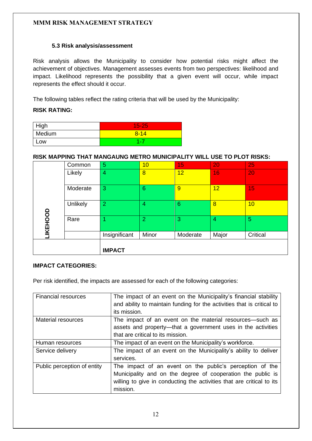#### **5.3 Risk analysis/assessment**

Risk analysis allows the Municipality to consider how potential risks might affect the achievement of objectives. Management assesses events from two perspectives: likelihood and impact. Likelihood represents the possibility that a given event will occur, while impact represents the effect should it occur.

The following tables reflect the rating criteria that will be used by the Municipality:

#### **RISK RATING:**

| High   | $15 - 25$ |
|--------|-----------|
| Medium | $8 - 14$  |
| _OW    | 1 - 7     |

#### **RISK MAPPING THAT MANGAUNG METRO MUNICIPALITY WILL USE TO PLOT RISKS:**

|          | Common   | 5              | 10              | 15       | 20    | 25       |
|----------|----------|----------------|-----------------|----------|-------|----------|
|          | Likely   | $\overline{4}$ | $\overline{8}$  | 12       | 16    | 20       |
|          | Moderate | 3              | $6\phantom{1}6$ | 9        | 12    | 15       |
|          | Unlikely | $\overline{2}$ | $\overline{4}$  | 6        | 8     | 10       |
| LIKEHOOD | Rare     | 4              | $\overline{2}$  | 3        | 4     | 5        |
|          |          | Insignificant  | Minor           | Moderate | Major | Critical |
|          |          | <b>IMPACT</b>  |                 |          |       |          |

#### **IMPACT CATEGORIES:**

Per risk identified, the impacts are assessed for each of the following categories:

| <b>Financial resources</b>  | The impact of an event on the Municipality's financial stability<br>and ability to maintain funding for the activities that is critical to<br>its mission.                                                   |
|-----------------------------|--------------------------------------------------------------------------------------------------------------------------------------------------------------------------------------------------------------|
| Material resources          | The impact of an event on the material resources—such as<br>assets and property—that a government uses in the activities<br>that are critical to its mission.                                                |
| Human resources             | The impact of an event on the Municipality's workforce.                                                                                                                                                      |
| Service delivery            | The impact of an event on the Municipality's ability to deliver<br>services.                                                                                                                                 |
| Public perception of entity | The impact of an event on the public's perception of the<br>Municipality and on the degree of cooperation the public is<br>willing to give in conducting the activities that are critical to its<br>mission. |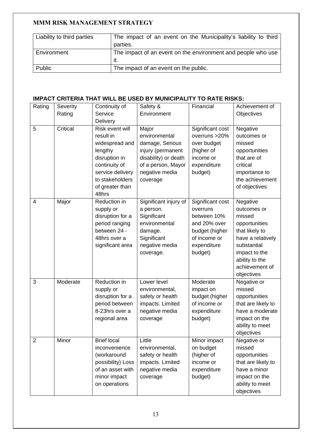| Liability to third parties | The impact of an event on the Municipality's liability to third |
|----------------------------|-----------------------------------------------------------------|
|                            | parties.                                                        |
| Environment                | The impact of an event on the environment and people who use    |
|                            | it.                                                             |
| Public                     | The impact of an event on the public.                           |

#### **IMPACT CRITERIA THAT WILL BE USED BY MUNICIPALITY TO RATE RISKS:**

| Rating         | Severity | Continuity of                                                                                                                                                  | Safety &                                                                                                                                   | Financial                                                                                                               | Achievement of                                                                                                                                                              |
|----------------|----------|----------------------------------------------------------------------------------------------------------------------------------------------------------------|--------------------------------------------------------------------------------------------------------------------------------------------|-------------------------------------------------------------------------------------------------------------------------|-----------------------------------------------------------------------------------------------------------------------------------------------------------------------------|
|                | Rating   | Service                                                                                                                                                        | Environment                                                                                                                                |                                                                                                                         | Objectives                                                                                                                                                                  |
|                |          | Delivery                                                                                                                                                       |                                                                                                                                            |                                                                                                                         |                                                                                                                                                                             |
| 5              | Critical | Risk event will<br>result in<br>widespread and<br>lengthy<br>disruption in<br>continuity of<br>service delivery<br>to stakeholders<br>of greater than<br>48hrs | Major<br>environmental<br>damage, Serious<br>injury (permanent<br>disability) or death<br>of a person, Mayor<br>negative media<br>coverage | Significant cost<br>overruns > 20%<br>over budget<br>(higher of<br>income or<br>expenditure<br>budget)                  | Negative<br>outcomes or<br>missed<br>opportunities<br>that are of<br>critical<br>importance to<br>the achievement<br>of objectives                                          |
| 4              | Major    | Reduction in<br>supply or<br>disruption for a<br>period ranging<br>between 24 -<br>48hrs over a<br>significant area                                            | Significant injury of<br>a person.<br>Significant<br>environmental<br>damage.<br>Significant<br>negative media<br>coverage.                | Significant cost<br>overruns<br>between 10%<br>and 20% over<br>budget (higher<br>of income or<br>expenditure<br>budget) | Negative<br>outcomes or<br>missed<br>opportunities<br>that likely to<br>have a relatively<br>substantial<br>impact to the<br>ability to the<br>achievement of<br>objectives |
| 3              | Moderate | Reduction in<br>supply or<br>disruption for a<br>period between<br>8-23hrs over a<br>regional area                                                             | Lower level<br>environmental,<br>safety or health<br>impacts. Limited<br>negative media<br>coverage                                        | Moderate<br>impact on<br>budget (higher<br>of income or<br>expenditure<br>budget)                                       | Negative or<br>missed<br>opportunities<br>that are likely to<br>have a moderate<br>impact on the<br>ability to meet<br>objectives                                           |
| $\overline{2}$ | Minor    | <b>Brief local</b><br>inconvenience<br>(workaround<br>possibility) Loss<br>of an asset with<br>minor impact<br>on operations                                   | Little<br>environmental,<br>safety or health<br>impacts. Limited<br>negative media<br>coverage                                             | Minor impact<br>on budget<br>(higher of<br>income or<br>expenditure<br>budget)                                          | Negative or<br>missed<br>opportunities<br>that are likely to<br>have a minor<br>impact on the<br>ability to meet<br>objectives                                              |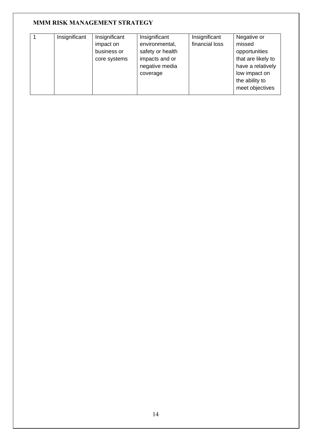| Insignificant | Insignificant | Insignificant    | Insignificant  | Negative or        |
|---------------|---------------|------------------|----------------|--------------------|
|               | impact on     | environmental,   | financial loss | missed             |
|               | business or   | safety or health |                | opportunities      |
|               | core systems  | impacts and or   |                | that are likely to |
|               |               | negative media   |                | have a relatively  |
|               |               | coverage         |                | low impact on      |
|               |               |                  |                | the ability to     |
|               |               |                  |                | meet objectives    |
|               |               |                  |                |                    |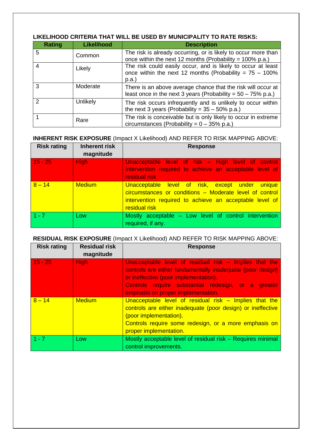| <b>Rating</b> | <b>Likelihood</b> | <b>Description</b>                                                                                                                 |
|---------------|-------------------|------------------------------------------------------------------------------------------------------------------------------------|
| 5             | Common            | The risk is already occurring, or is likely to occur more than<br>once within the next 12 months (Probability = $100\%$ p.a.)      |
| 4             | Likely            | The risk could easily occur, and is likely to occur at least<br>once within the next 12 months (Probability = $75 - 100\%$<br>p.a. |
| 3             | Moderate          | There is an above average chance that the risk will occur at<br>least once in the next 3 years (Probability = $50 - 75\%$ p.a.)    |
| 2             | Unlikely          | The risk occurs infrequently and is unlikely to occur within<br>the next 3 years (Probability = $35 - 50\%$ p.a.)                  |
|               | Rare              | The risk is conceivable but is only likely to occur in extreme<br>circumstances (Probability = $0 - 35\%$ p.a.)                    |

#### **LIKELIHOOD CRITERIA THAT WILL BE USED BY MUNICIPALITY TO RATE RISKS:**

#### **INHERENT RISK EXPOSURE** (Impact X Likelihood) AND REFER TO RISK MAPPING ABOVE:

| <b>Risk rating</b> | <b>Inherent risk</b><br>magnitude | <b>Response</b>                                                                                                                                                                        |
|--------------------|-----------------------------------|----------------------------------------------------------------------------------------------------------------------------------------------------------------------------------------|
| $15 - 25$          | High                              | Unacceptable level of risk – High level of control<br>intervention required to achieve an acceptable level of<br>residual risk                                                         |
| $8 - 14$           | <b>Medium</b>                     | Unacceptable level of risk, except under unique<br>circumstances or conditions - Moderate level of control<br>intervention required to achieve an acceptable level of<br>residual risk |
| $1 - 7$            | Low                               | Mostly acceptable – Low level of control intervention<br>required, if any.                                                                                                             |

#### **RESIDUAL RISK EXPOSURE** (Impact X Likelihood) AND REFER TO RISK MAPPING ABOVE:

| <b>Risk rating</b> | <b>Residual risk</b><br>magnitude | <b>Response</b>                                                                                                                                                                                                                                            |
|--------------------|-----------------------------------|------------------------------------------------------------------------------------------------------------------------------------------------------------------------------------------------------------------------------------------------------------|
| $15 - 25$          | <b>High</b>                       | Unacceptable level of residual risk - Implies that the<br>controls are either fundamentally inadequate (poor design)<br>or ineffective (poor implementation).<br>Controls require substantial redesign, or a greater<br>emphasis on proper implementation. |
| $8 - 14$           | <b>Medium</b>                     | Unacceptable level of residual risk $-$ Implies that the<br>controls are either inadequate (poor design) or ineffective<br>(poor implementation).<br>Controls require some redesign, or a more emphasis on<br>proper implementation.                       |
| $1 - 7$            | Low                               | Mostly acceptable level of residual risk - Requires minimal<br>control improvements.                                                                                                                                                                       |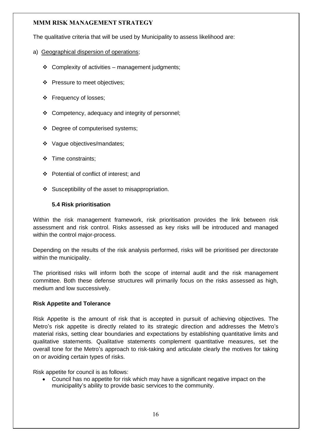The qualitative criteria that will be used by Municipality to assess likelihood are:

- a) Geographical dispersion of operations;
	- ❖ Complexity of activities management judgments;
	- ❖ Pressure to meet objectives;
	- ❖ Frequency of losses;
	- ❖ Competency, adequacy and integrity of personnel;
	- ❖ Degree of computerised systems;
	- ❖ Vague objectives/mandates;
	- ❖ Time constraints;
	- ❖ Potential of conflict of interest; and
	- ❖ Susceptibility of the asset to misappropriation.

#### **5.4 Risk prioritisation**

Within the risk management framework, risk prioritisation provides the link between risk assessment and risk control. Risks assessed as key risks will be introduced and managed within the control major-process.

Depending on the results of the risk analysis performed, risks will be prioritised per directorate within the municipality.

The prioritised risks will inform both the scope of internal audit and the risk management committee. Both these defense structures will primarily focus on the risks assessed as high, medium and low successively.

#### **Risk Appetite and Tolerance**

Risk Appetite is the amount of risk that is accepted in pursuit of achieving objectives. The Metro's risk appetite is directly related to its strategic direction and addresses the Metro's material risks, setting clear boundaries and expectations by establishing quantitative limits and qualitative statements. Qualitative statements complement quantitative measures, set the overall tone for the Metro's approach to risk-taking and articulate clearly the motives for taking on or avoiding certain types of risks.

Risk appetite for council is as follows:

• Council has no appetite for risk which may have a significant negative impact on the municipality's ability to provide basic services to the community.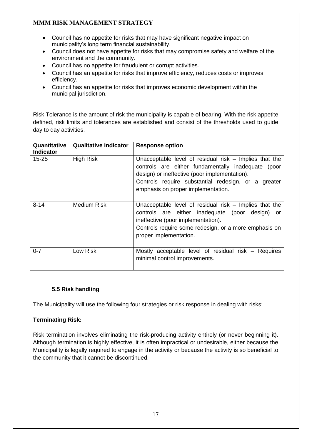- Council has no appetite for risks that may have significant negative impact on municipality's long term financial sustainability.
- Council does not have appetite for risks that may compromise safety and welfare of the environment and the community.
- Council has no appetite for fraudulent or corrupt activities.
- Council has an appetite for risks that improve efficiency, reduces costs or improves efficiency.
- Council has an appetite for risks that improves economic development within the municipal jurisdiction.

Risk Tolerance is the amount of risk the municipality is capable of bearing. With the risk appetite defined, risk limits and tolerances are established and consist of the thresholds used to guide day to day activities.

| Quantitative<br><b>Indicator</b> | <b>Qualitative Indicator</b> | <b>Response option</b>                                                                                                                                                                                                                                       |
|----------------------------------|------------------------------|--------------------------------------------------------------------------------------------------------------------------------------------------------------------------------------------------------------------------------------------------------------|
| $15 - 25$                        | <b>High Risk</b>             | Unacceptable level of residual risk $-$ Implies that the<br>controls are either fundamentally inadequate (poor<br>design) or ineffective (poor implementation).<br>Controls require substantial redesign, or a greater<br>emphasis on proper implementation. |
| $8 - 14$                         | Medium Risk                  | Unacceptable level of residual risk $-$ Implies that the<br>controls are either inadequate (poor design)<br>or<br>ineffective (poor implementation).<br>Controls require some redesign, or a more emphasis on<br>proper implementation.                      |
| $0 - 7$                          | Low Risk                     | Mostly acceptable level of residual risk – Requires<br>minimal control improvements.                                                                                                                                                                         |

#### **5.5 Risk handling**

The Municipality will use the following four strategies or risk response in dealing with risks:

#### **Terminating Risk:**

Risk termination involves eliminating the risk-producing activity entirely (or never beginning it). Although termination is highly effective, it is often impractical or undesirable, either because the Municipality is legally required to engage in the activity or because the activity is so beneficial to the community that it cannot be discontinued.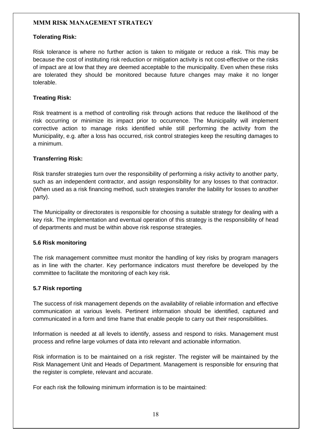#### **Tolerating Risk:**

Risk tolerance is where no further action is taken to mitigate or reduce a risk. This may be because the cost of instituting risk reduction or mitigation activity is not cost-effective or the risks of impact are at low that they are deemed acceptable to the municipality. Even when these risks are tolerated they should be monitored because future changes may make it no longer tolerable.

#### **Treating Risk:**

Risk treatment is a method of controlling risk through actions that reduce the likelihood of the risk occurring or minimize its impact prior to occurrence. The Municipality will implement corrective action to manage risks identified while still performing the activity from the Municipality, e.g. after a loss has occurred, risk control strategies keep the resulting damages to a minimum.

#### **Transferring Risk:**

Risk transfer strategies turn over the responsibility of performing a risky activity to another party, such as an independent contractor, and assign responsibility for any losses to that contractor. (When used as a risk financing method, such strategies transfer the liability for losses to another party).

The Municipality or directorates is responsible for choosing a suitable strategy for dealing with a key risk. The implementation and eventual operation of this strategy is the responsibility of head of departments and must be within above risk response strategies.

#### **5.6 Risk monitoring**

The risk management committee must monitor the handling of key risks by program managers as in line with the charter. Key performance indicators must therefore be developed by the committee to facilitate the monitoring of each key risk.

#### **5.7 Risk reporting**

The success of risk management depends on the availability of reliable information and effective communication at various levels. Pertinent information should be identified, captured and communicated in a form and time frame that enable people to carry out their responsibilities.

Information is needed at all levels to identify, assess and respond to risks. Management must process and refine large volumes of data into relevant and actionable information.

Risk information is to be maintained on a risk register. The register will be maintained by the Risk Management Unit and Heads of Department. Management is responsible for ensuring that the register is complete, relevant and accurate.

For each risk the following minimum information is to be maintained: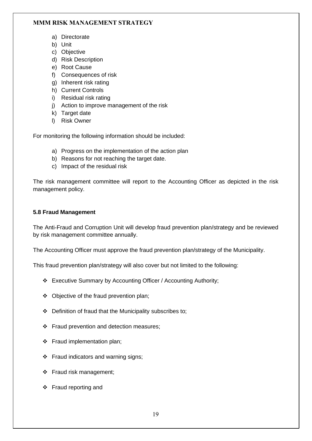- a) Directorate
- b) Unit
- c) Objective
- d) Risk Description
- e) Root Cause
- f) Consequences of risk
- g) Inherent risk rating
- h) Current Controls
- i) Residual risk rating
- j) Action to improve management of the risk
- k) Target date
- l) Risk Owner

For monitoring the following information should be included:

- a) Progress on the implementation of the action plan
- b) Reasons for not reaching the target date.
- c) Impact of the residual risk

The risk management committee will report to the Accounting Officer as depicted in the risk management policy.

#### **5.8 Fraud Management**

The Anti-Fraud and Corruption Unit will develop fraud prevention plan/strategy and be reviewed by risk management committee annually.

The Accounting Officer must approve the fraud prevention plan/strategy of the Municipality.

This fraud prevention plan/strategy will also cover but not limited to the following:

- ❖ Executive Summary by Accounting Officer / Accounting Authority;
- ❖ Objective of the fraud prevention plan;
- ❖ Definition of fraud that the Municipality subscribes to;
- ❖ Fraud prevention and detection measures;
- ❖ Fraud implementation plan;
- ❖ Fraud indicators and warning signs;
- ❖ Fraud risk management;
- ❖ Fraud reporting and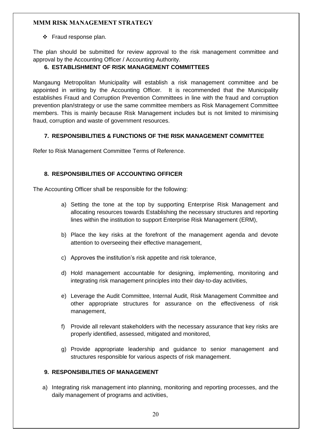❖ Fraud response plan.

The plan should be submitted for review approval to the risk management committee and approval by the Accounting Officer / Accounting Authority.

#### <span id="page-19-0"></span>**6. ESTABLISHMENT OF RISK MANAGEMENT COMMITTEES**

Mangaung Metropolitan Municipality will establish a risk management committee and be appointed in writing by the Accounting Officer. It is recommended that the Municipality establishes Fraud and Corruption Prevention Committees in line with the fraud and corruption prevention plan/strategy or use the same committee members as Risk Management Committee members. This is mainly because Risk Management includes but is not limited to minimising fraud, corruption and waste of government resources.

#### <span id="page-19-1"></span>**7. RESPONSIBILITIES & FUNCTIONS OF THE RISK MANAGEMENT COMMITTEE**

Refer to Risk Management Committee Terms of Reference.

#### <span id="page-19-2"></span>**8. RESPONSIBILITIES OF ACCOUNTING OFFICER**

The Accounting Officer shall be responsible for the following:

- a) Setting the tone at the top by supporting Enterprise Risk Management and allocating resources towards Establishing the necessary structures and reporting lines within the institution to support Enterprise Risk Management (ERM),
- b) Place the key risks at the forefront of the management agenda and devote attention to overseeing their effective management,
- c) Approves the institution's risk appetite and risk tolerance,
- d) Hold management accountable for designing, implementing, monitoring and integrating risk management principles into their day-to-day activities,
- e) Leverage the Audit Committee, Internal Audit, Risk Management Committee and other appropriate structures for assurance on the effectiveness of risk management,
- f) Provide all relevant stakeholders with the necessary assurance that key risks are properly identified, assessed, mitigated and monitored,
- g) Provide appropriate leadership and guidance to senior management and structures responsible for various aspects of risk management.

#### <span id="page-19-3"></span>**9. RESPONSIBILITIES OF MANAGEMENT**

a) Integrating risk management into planning, monitoring and reporting processes, and the daily management of programs and activities,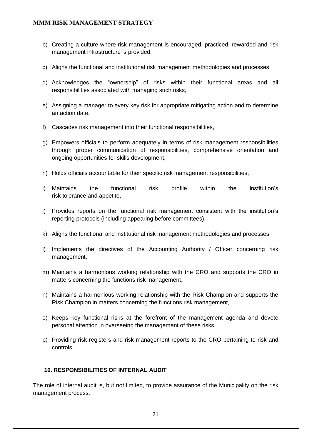- b) Creating a culture where risk management is encouraged, practiced, rewarded and risk management infrastructure is provided,
- c) Aligns the functional and institutional risk management methodologies and processes,
- d) Acknowledges the "ownership" of risks within their functional areas and all responsibilities associated with managing such risks,
- e) Assigning a manager to every key risk for appropriate mitigating action and to determine an action date,
- f) Cascades risk management into their functional responsibilities,
- g) Empowers officials to perform adequately in terms of risk management responsibilities through proper communication of responsibilities, comprehensive orientation and ongoing opportunities for skills development,
- h) Holds officials accountable for their specific risk management responsibilities,
- i) Maintains the functional risk profile within the institution's [risk tolerance](../../AppData/Local/Microsoft/Windows/AppData/Local/AppData/Local/Microsoft/AppData/Local/Microsoft/Windows/AppData/Local/Microsoft/Windows/Temporary%20Internet%20Files/Content.Outlook/Guidebooks/Guidebook%20Risk%20tolerances%20v1.0608.doc) and appetite,
- j) Provides reports on the functional risk management consistent with the institution's reporting protocols (including appearing before committees),
- k) Aligns the functional and institutional risk management methodologies and processes,
- l) Implements the directives of the Accounting Authority / Officer concerning risk management,
- m) Maintains a harmonious working relationship with the CRO and supports the CRO in matters concerning the functions risk management,
- n) Maintains a harmonious working relationship with the Risk Champion and supports the Risk Champion in matters concerning the functions risk management,
- o) Keeps key functional risks at the forefront of the management agenda and devote personal attention in overseeing the management of these risks,
- p) Providing risk registers and risk management reports to the CRO pertaining to risk and controls.

#### <span id="page-20-0"></span>**10. RESPONSIBILITIES OF INTERNAL AUDIT**

The role of internal audit is, but not limited, to provide assurance of the Municipality on the risk management process.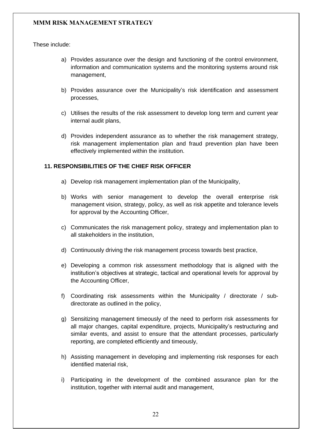These include:

- a) Provides assurance over the design and functioning of the control environment, information and communication systems and the monitoring systems around risk management,
- b) Provides assurance over the Municipality's risk identification and assessment processes,
- c) Utilises the results of the risk assessment to develop long term and current year internal audit plans,
- d) Provides independent assurance as to whether the risk management strategy, risk management implementation plan and fraud prevention plan have been effectively implemented within the institution.

#### <span id="page-21-0"></span>**11. RESPONSIBILITIES OF THE CHIEF RISK OFFICER**

- a) Develop risk management implementation plan of the Municipality,
- b) Works with senior management to develop the overall enterprise risk management vision, strategy, policy, as well as risk appetite and tolerance levels for approval by the Accounting Officer,
- c) Communicates the risk management policy, strategy and implementation plan to all stakeholders in the institution,
- d) Continuously driving the risk management process towards best practice,
- e) Developing a common ris[k](http://oag.treasury.gov.za/cd_rm/ermf/Guidebooks/Guidebook%20Risk%20identification%20v1.0608.doc) assessment methodology that is aligned with the institution's objectives at strategic, tactical and operational levels for approval by the Accounting Officer,
- f) Coordinating risk assessments within the Municipality / directorate / subdirectorate as outlined in the policy,
- g) Sensitizing management timeously of the need to perform risk assessments for all major changes, capital expenditure, projects, Municipality's restructuring and similar events, and assist to ensure that the attendant processes, particularly reporting, are completed efficiently and timeously,
- h) Assisting management in developing and implementing risk responses for each identified material risk,
- i) Participating in the development of the combined assurance plan for the institution, together with internal audit and management,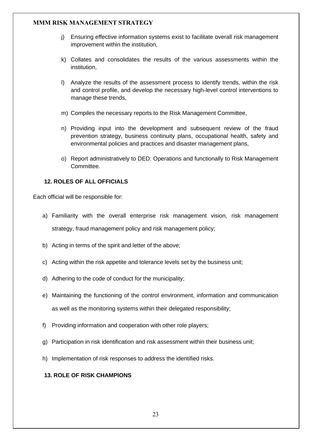- j) Ensuring effective information systems exist to facilitate overall risk management improvement within the institution,
- k) Collates and consolidates the results of the various assessments within the institution,
- l) Analyze the results of the assessment process to identify trends, within the risk and control profile, and develop the necessary high-level control interventions to manage these trends,
- m) Compiles the necessary reports to the Risk Management Committee,
- n) Providing input into the development and subsequent review of the fraud prevention strategy, business continuity plans, occupational health, safety and environmental policies and practices and disaster management plans,
- o) Report administratively to DED: Operations and functionally to Risk Management Committee.

#### <span id="page-22-0"></span>**12. ROLES OF ALL OFFICIALS**

Each official will be responsible for:

- a) Familiarity with the overall enterprise risk management vision, [risk management](../../AppData/Local/Microsoft/Windows/AppData/Local/AppData/Local/Microsoft/AppData/Local/Microsoft/Windows/AppData/Local/Microsoft/Windows/Temporary%20Internet%20Files/Content.Outlook/Guidebooks/Guidebook%20Risk%20management%20strategy%20v1.0608.doc)  [strategy,](../../AppData/Local/Microsoft/Windows/AppData/Local/AppData/Local/Microsoft/AppData/Local/Microsoft/Windows/AppData/Local/Microsoft/Windows/Temporary%20Internet%20Files/Content.Outlook/Guidebooks/Guidebook%20Risk%20management%20strategy%20v1.0608.doc) [fraud management policy](../../AppData/Local/Microsoft/Windows/AppData/Local/AppData/Local/Microsoft/AppData/Local/Microsoft/Windows/AppData/Local/Microsoft/Windows/Temporary%20Internet%20Files/Content.Outlook/Guidebooks/Guidebook%20Fraud%20risk%20management%20policy%20v1%200608.doc) and [risk management policy;](../../AppData/Local/Microsoft/Windows/AppData/Local/AppData/Local/Microsoft/AppData/Local/Microsoft/Windows/AppData/Local/Microsoft/Windows/Temporary%20Internet%20Files/Content.Outlook/Guidebooks/Guidebook%20Risk%20management%20policy%20v1.0608.doc)
- b) Acting in terms of the spirit and letter of the above;
- c) Acting within the risk appetite and [tolerance](../../AppData/Local/Microsoft/Windows/AppData/Local/AppData/Local/Microsoft/AppData/Local/Microsoft/Windows/AppData/Local/Microsoft/Windows/Temporary%20Internet%20Files/Content.Outlook/Guidebooks/Guidebook%20Risk%20tolerances%20v1.0608.doc) levels set by the business unit;
- d) Adhering to the code of conduct for the municipality;
- e) Maintaining the functioning of the [control environment,](../../AppData/Local/Microsoft/Windows/AppData/Local/AppData/Local/Microsoft/AppData/Local/Microsoft/Windows/AppData/Local/Microsoft/Windows/Temporary%20Internet%20Files/Content.Outlook/Guidebooks/Guidebook%20Control%20environment%20v1.0608.doc) information and communication as well as the monitoring systems within their delegated responsibility;
- f) Providing information and cooperation with other role players;
- g) Participation in [risk identification](../../AppData/Local/Microsoft/Windows/AppData/Local/AppData/Local/Microsoft/AppData/Local/Microsoft/Windows/AppData/Local/Microsoft/Windows/Temporary%20Internet%20Files/Content.Outlook/Guidebooks/Guidebook%20Risk%20identification%20v1.0608.doc) and [risk assessment](../../AppData/Local/Microsoft/Windows/AppData/Local/AppData/Local/Microsoft/AppData/Local/Microsoft/Windows/AppData/Local/Microsoft/Windows/Temporary%20Internet%20Files/Content.Outlook/Guidebooks/Guidebook%20Risk%20assessment%20v1.0608.doc) within their business unit;
- h) Implementation of risk responses to address the identified risks.

#### <span id="page-22-1"></span>**13. ROLE OF RISK CHAMPIONS**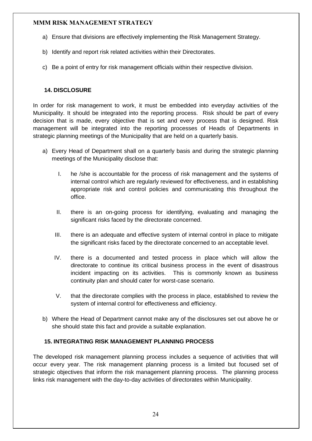- a) Ensure that divisions are effectively implementing the Risk Management Strategy.
- b) Identify and report risk related activities within their Directorates.
- c) Be a point of entry for risk management officials within their respective division.

#### <span id="page-23-0"></span>**14. DISCLOSURE**

In order for risk management to work, it must be embedded into everyday activities of the Municipality. It should be integrated into the reporting process. Risk should be part of every decision that is made, every objective that is set and every process that is designed. Risk management will be integrated into the reporting processes of Heads of Departments in strategic planning meetings of the Municipality that are held on a quarterly basis.

- a) Every Head of Department shall on a quarterly basis and during the strategic planning meetings of the Municipality disclose that:
	- I. he /she is accountable for the process of risk management and the systems of internal control which are regularly reviewed for effectiveness, and in establishing appropriate risk and control policies and communicating this throughout the office.
	- II. there is an on-going process for identifying, evaluating and managing the significant risks faced by the directorate concerned.
	- III. there is an adequate and effective system of internal control in place to mitigate the significant risks faced by the directorate concerned to an acceptable level.
	- IV. there is a documented and tested process in place which will allow the directorate to continue its critical business process in the event of disastrous incident impacting on its activities. This is commonly known as business continuity plan and should cater for worst-case scenario.
	- V. that the directorate complies with the process in place, established to review the system of internal control for effectiveness and efficiency.
- b) Where the Head of Department cannot make any of the disclosures set out above he or she should state this fact and provide a suitable explanation.

#### <span id="page-23-1"></span>**15. INTEGRATING RISK MANAGEMENT PLANNING PROCESS**

The developed risk management planning process includes a sequence of activities that will occur every year. The risk management planning process is a limited but focused set of strategic objectives that inform the risk management planning process. The planning process links risk management with the day-to-day activities of directorates within Municipality.